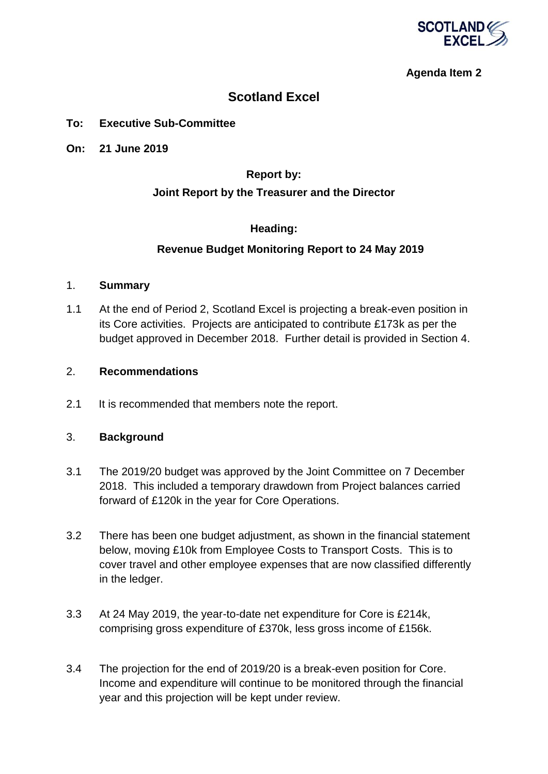

## **Agenda Item 2**

# **Scotland Excel**

#### **To: Executive Sub-Committee**

**On: 21 June 2019**

### **Report by:**

#### **Joint Report by the Treasurer and the Director**

### **Heading:**

#### **Revenue Budget Monitoring Report to 24 May 2019**

#### 1. **Summary**

1.1 At the end of Period 2, Scotland Excel is projecting a break-even position in its Core activities. Projects are anticipated to contribute £173k as per the budget approved in December 2018. Further detail is provided in Section 4.

#### 2. **Recommendations**

2.1 It is recommended that members note the report.

#### 3. **Background**

- 3.1 The 2019/20 budget was approved by the Joint Committee on 7 December 2018. This included a temporary drawdown from Project balances carried forward of £120k in the year for Core Operations.
- 3.2 There has been one budget adjustment, as shown in the financial statement below, moving £10k from Employee Costs to Transport Costs. This is to cover travel and other employee expenses that are now classified differently in the ledger.
- 3.3 At 24 May 2019, the year-to-date net expenditure for Core is £214k, comprising gross expenditure of £370k, less gross income of £156k.
- 3.4 The projection for the end of 2019/20 is a break-even position for Core. Income and expenditure will continue to be monitored through the financial year and this projection will be kept under review.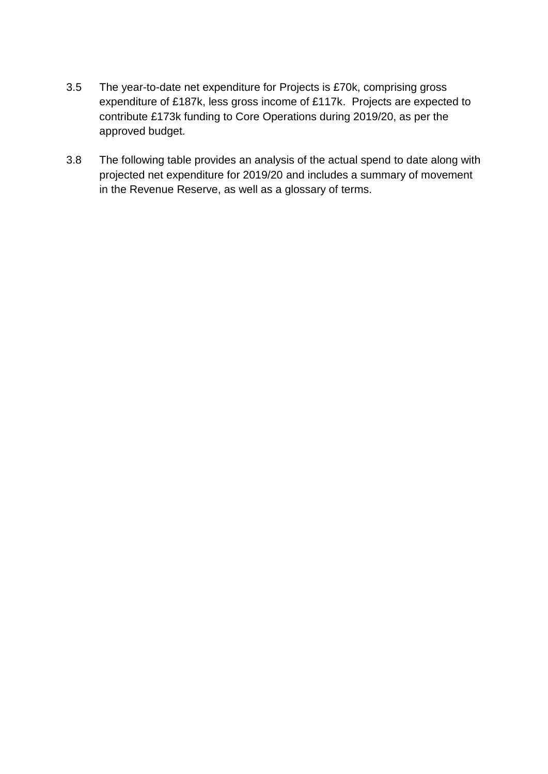- 3.5 The year-to-date net expenditure for Projects is £70k, comprising gross expenditure of £187k, less gross income of £117k. Projects are expected to contribute £173k funding to Core Operations during 2019/20, as per the approved budget.
- 3.8 The following table provides an analysis of the actual spend to date along with projected net expenditure for 2019/20 and includes a summary of movement in the Revenue Reserve, as well as a glossary of terms.